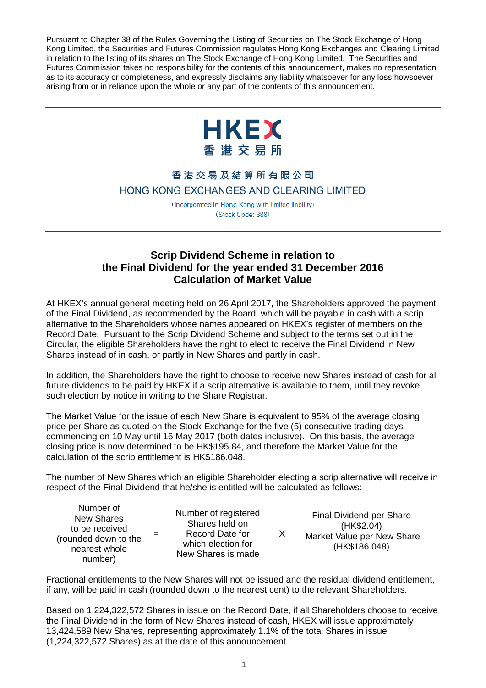Pursuant to Chapter 38 of the Rules Governing the Listing of Securities on The Stock Exchange of Hong Kong Limited, the Securities and Futures Commission regulates Hong Kong Exchanges and Clearing Limited in relation to the listing of its shares on The Stock Exchange of Hong Kong Limited. The Securities and Futures Commission takes no responsibility for the contents of this announcement, makes no representation as to its accuracy or completeness, and expressly disclaims any liability whatsoever for any loss howsoever arising from or in reliance upon the whole or any part of the contents of this announcement.



## 香港交易及結算所有限公司 HONG KONG EXCHANGES AND CLEARING LIMITED

(Incorporated in Hong Kong with limited liability) (Stock Code: 388)

## **Scrip Dividend Scheme in relation to the Final Dividend for the year ended 31 December 2016 Calculation of Market Value**

At HKEX's annual general meeting held on 26 April 2017, the Shareholders approved the payment of the Final Dividend, as recommended by the Board, which will be payable in cash with a scrip alternative to the Shareholders whose names appeared on HKEX's register of members on the Record Date. Pursuant to the Scrip Dividend Scheme and subject to the terms set out in the Circular, the eligible Shareholders have the right to elect to receive the Final Dividend in New Shares instead of in cash, or partly in New Shares and partly in cash.

In addition, the Shareholders have the right to choose to receive new Shares instead of cash for all future dividends to be paid by HKEX if a scrip alternative is available to them, until they revoke such election by notice in writing to the Share Registrar.

The Market Value for the issue of each New Share is equivalent to 95% of the average closing price per Share as quoted on the Stock Exchange for the five (5) consecutive trading days commencing on 10 May until 16 May 2017 (both dates inclusive). On this basis, the average closing price is now determined to be HK\$195.84, and therefore the Market Value for the calculation of the scrip entitlement is HK\$186.048.

The number of New Shares which an eligible Shareholder electing a scrip alternative will receive in respect of the Final Dividend that he/she is entitled will be calculated as follows:

| Number of<br><b>New Shares</b>         | Nu |
|----------------------------------------|----|
| to be received<br>(rounded down to the | ۱M |
| nearest whole<br>number)               | Ne |

mber of registered Shares held on Record Date for which election for w Shares is made

X Final Dividend per Share (HK\$2.04) Market Value per New Share (HK\$186.048)

Fractional entitlements to the New Shares will not be issued and the residual dividend entitlement, if any, will be paid in cash (rounded down to the nearest cent) to the relevant Shareholders.

Based on 1,224,322,572 Shares in issue on the Record Date, if all Shareholders choose to receive the Final Dividend in the form of New Shares instead of cash, HKEX will issue approximately 13,424,589 New Shares, representing approximately 1.1% of the total Shares in issue (1,224,322,572 Shares) as at the date of this announcement.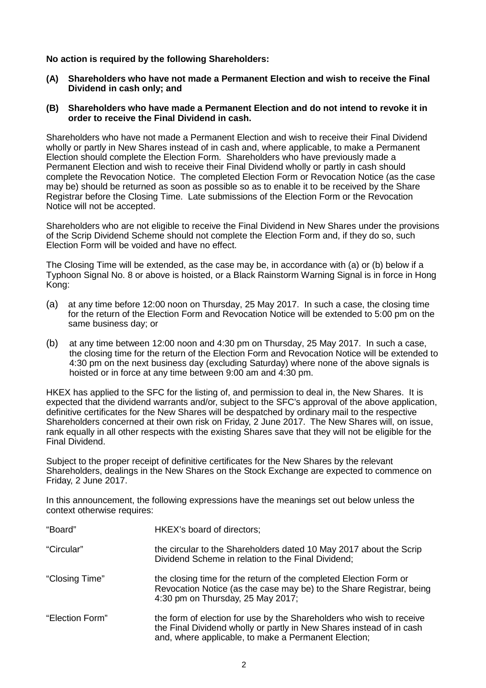**No action is required by the following Shareholders:**

- **(A) Shareholders who have not made a Permanent Election and wish to receive the Final Dividend in cash only; and**
- **(B) Shareholders who have made a Permanent Election and do not intend to revoke it in order to receive the Final Dividend in cash.**

Shareholders who have not made a Permanent Election and wish to receive their Final Dividend wholly or partly in New Shares instead of in cash and, where applicable, to make a Permanent Election should complete the Election Form. Shareholders who have previously made a Permanent Election and wish to receive their Final Dividend wholly or partly in cash should complete the Revocation Notice. The completed Election Form or Revocation Notice (as the case may be) should be returned as soon as possible so as to enable it to be received by the Share Registrar before the Closing Time. Late submissions of the Election Form or the Revocation Notice will not be accepted.

Shareholders who are not eligible to receive the Final Dividend in New Shares under the provisions of the Scrip Dividend Scheme should not complete the Election Form and, if they do so, such Election Form will be voided and have no effect.

The Closing Time will be extended, as the case may be, in accordance with (a) or (b) below if a Typhoon Signal No. 8 or above is hoisted, or a Black Rainstorm Warning Signal is in force in Hong Kong:

- (a) at any time before 12:00 noon on Thursday, 25 May 2017. In such a case, the closing time for the return of the Election Form and Revocation Notice will be extended to 5:00 pm on the same business day; or
- (b) at any time between 12:00 noon and 4:30 pm on Thursday, 25 May 2017. In such a case, the closing time for the return of the Election Form and Revocation Notice will be extended to 4:30 pm on the next business day (excluding Saturday) where none of the above signals is hoisted or in force at any time between 9:00 am and 4:30 pm.

HKEX has applied to the SFC for the listing of, and permission to deal in, the New Shares. It is expected that the dividend warrants and/or, subject to the SFC's approval of the above application, definitive certificates for the New Shares will be despatched by ordinary mail to the respective Shareholders concerned at their own risk on Friday, 2 June 2017. The New Shares will, on issue, rank equally in all other respects with the existing Shares save that they will not be eligible for the Final Dividend.

Subject to the proper receipt of definitive certificates for the New Shares by the relevant Shareholders, dealings in the New Shares on the Stock Exchange are expected to commence on Friday, 2 June 2017.

In this announcement, the following expressions have the meanings set out below unless the context otherwise requires:

| "Board"         | HKEX's board of directors;                                                                                                                                                                           |
|-----------------|------------------------------------------------------------------------------------------------------------------------------------------------------------------------------------------------------|
| "Circular"      | the circular to the Shareholders dated 10 May 2017 about the Scrip<br>Dividend Scheme in relation to the Final Dividend;                                                                             |
| "Closing Time"  | the closing time for the return of the completed Election Form or<br>Revocation Notice (as the case may be) to the Share Registrar, being<br>4:30 pm on Thursday, 25 May 2017;                       |
| "Election Form" | the form of election for use by the Shareholders who wish to receive<br>the Final Dividend wholly or partly in New Shares instead of in cash<br>and, where applicable, to make a Permanent Election; |